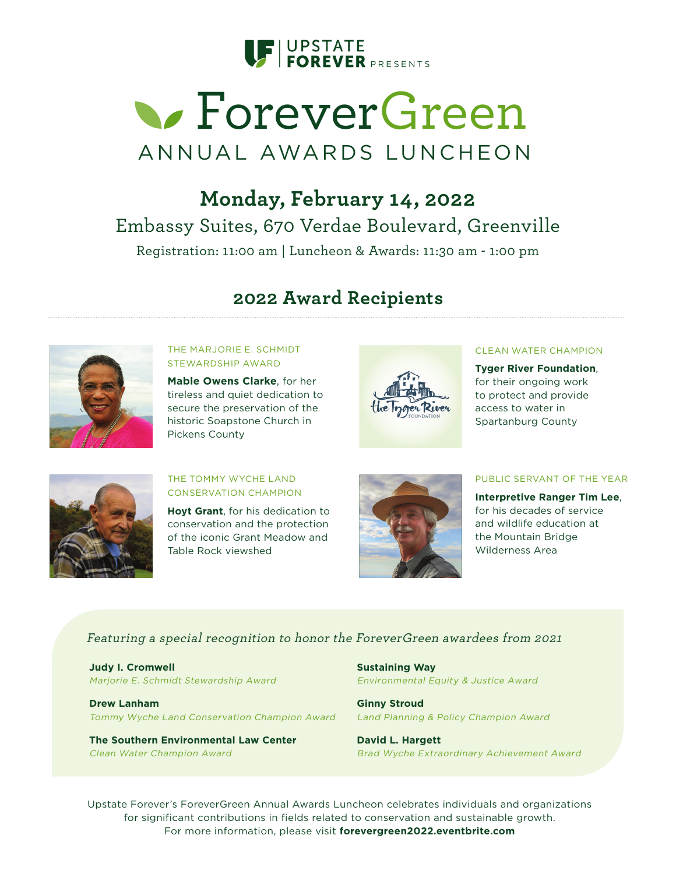

# **S** ForeverGreen ANNUAL AWARDS LUNCHEON

## **Monday, February 14, 2022**  Embassy Suites, 670 Verdae Boulevard, Greenville Registration: 11:00 am | Luncheon & Awards: 11:30 am - 1:00 pm

## **2022 Award Recipients**



THE MARJORIE E. SCHMIDT STEWARDSHIP AWARD

**Mable Owens Clarke**, for her tireless and quiet dedication to secure the preservation of the historic Soapstone Church in Pickens County



#### CLEAN WATER CHAMPION

**Tyger River Foundation**, for their ongoing work to protect and provide access to water in Spartanburg County



THE TOMMY WYCHE LAND CONSERVATION CHAMPION

**Hoyt Grant**, for his dedication to conservation and the protection of the iconic Grant Meadow and Table Rock viewshed



PUBLIC SERVANT OF THE YEAR

**Interpretive Ranger Tim Lee**, for his decades of service and wildlife education at the Mountain Bridge Wilderness Area

#### Featuring a special recognition to honor the ForeverGreen awardees from 2021

**Judy I. Cromwell** Marjorie E. Schmidt Stewardship Award

**Drew Lanham** Tommy Wyche Land Conservation Champion Award

**The Southern Environmental Law Center** Clean Water Champion Award

**Sustaining Way** Environmental Equity & Justice Award

**Ginny Stroud** Land Planning & Policy Champion Award

**David L. Hargett** Brad Wyche Extraordinary Achievement Award

Upstate Forever's ForeverGreen Annual Awards Luncheon celebrates individuals and organizations for significant contributions in fields related to conservation and sustainable growth. For more information, please visit **forevergreen2022.eventbrite.com**